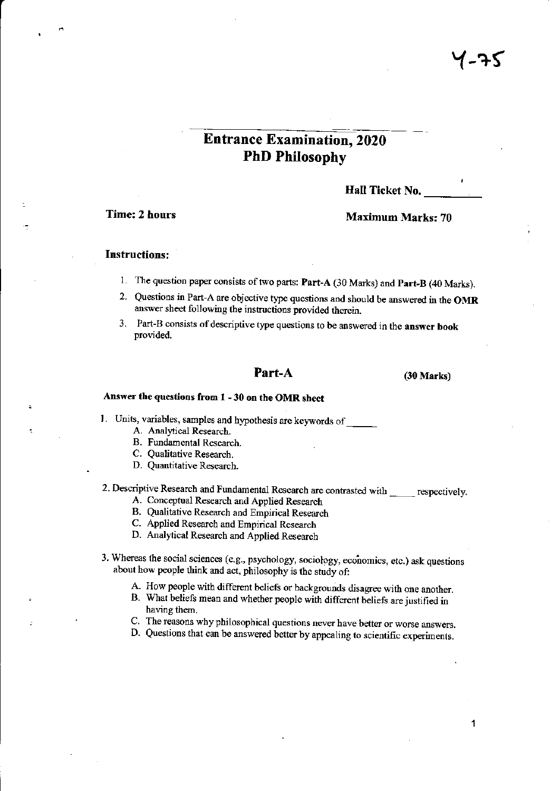# **Entrance Examination, 2020 PhD Philosophy**

Hall Ticket No.

**Time: 2 hours** 

### **Maximum Marks: 70**

## **Instructions:**

- 1. The question paper consists of two parts: Part-A (30 Marks) and Part-B (40 Marks).
- 2. Questions in Part-A are objective type questions and should be answered in the OMR answer sheet following the instructions provided therein.
- 3. Part-B consists of descriptive type questions to be answered in the answer book provided.

## Part-A

 $(30 Marks)$ 

## Answer the questions from 1 - 30 on the OMR sheet

1. Units, variables, samples and hypothesis are keywords of

- A. Analytical Research.
- B. Fundamental Research.
- C. Qualitative Research.
- D. Quantitative Research.

# 2. Descriptive Research and Fundamental Research are contrasted with \_\_\_\_\_\_ respectively.

- A. Conceptual Research and Applied Research
- B. Qualitative Research and Empirical Research
- C. Applied Research and Empirical Research
- D. Analytical Research and Applied Research
- 3. Whereas the social sciences (e.g., psychology, sociology, economics, etc.) ask questions about how people think and act, philosophy is the study of:
	- A. How people with different beliefs or backgrounds disagree with one another.
	- B. What beliefs mean and whether people with different beliefs are justified in having them.
	- C. The reasons why philosophical questions never have better or worse answers.
	- D. Questions that can be answered better by appealing to scientific experiments.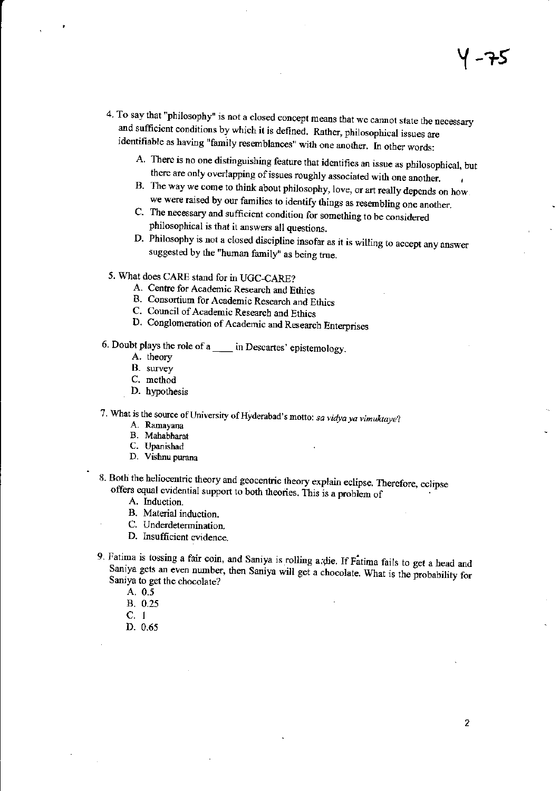- 4. To say that "philosophy" is not a closed concept means that we cannot state the necessary and sufficient conditions by which it is defined. Rather, philosophical issues are identifiable as having "family resemblances" with one another. In other words:
	- A. There is no one distinguishing feature that identifies an issue as philosophical, but there are only overlapping of issues roughly associated with one another.
	- B. The way we come to think about philosophy, love, or art really depends on how. we were raised by our families to identify things as resembling one another.
	- C. The necessary and sufficient condition for something to be considered philosophical is that it answers all questions.
	- D. Philosophy is not a closed discipline insofar as it is willing to accept any answer suggested by the "human family" as being true.
- 5. What does CARE stand for in UGC-CARE?
	- A. Centre for Academic Research and Ethics
	- B. Consortium for Academic Research and Ethics
	- C. Council of Academic Research and Ethics
	- D. Conglomeration of Academic and Research Enterprises
- 6. Doubt plays the role of a \_\_\_\_ in Descartes' epistemology.
	- A. theory
	- B. survey
	- C. method
	- D. hypothesis
- 7. What is the source of University of Hyderabad's motto: sa vidya ya vimuktaye?
	- A. Ramayana
	- B. Mahabharat C. Upanishad
	-
	- D. Vishnu purana
- 8. Both the heliocentric theory and geocentric theory explain eclipse. Therefore, eclipse offers equal evidential support to both theories. This is a problem of
	- A. Induction.
	- B. Material induction.
	- C. Underdetermination.
	- D. Insufficient evidence.
- 9. Fatima is tossing a fair coin, and Saniya is rolling a die. If Fatima fails to get a head and Saniya gets an even number, then Saniya will get a chocolate. What is the probability for Saniya to get the chocolate?
	- A. 0.5
	- **B.** 0.25
	- $C. 1$
	- D. 0.65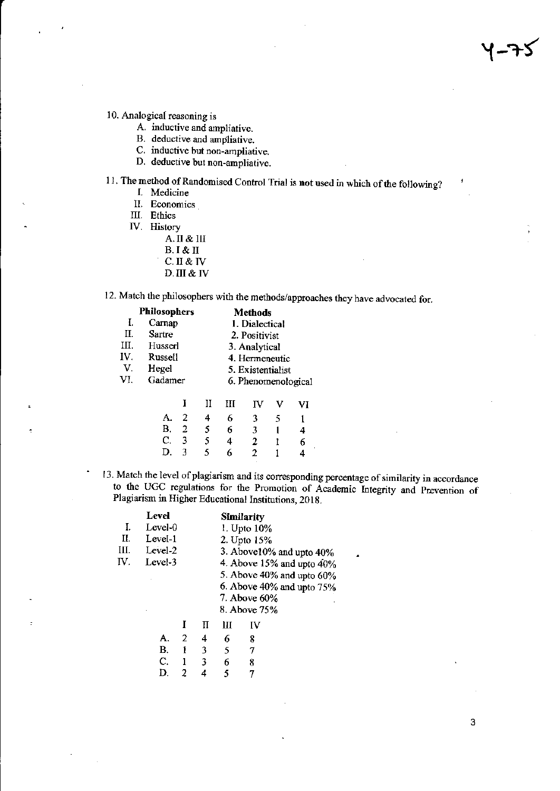10. Analogical reasoning is

- A. inductive and ampliative.
- B. deductive and ampliative.
- C. inductive but non-ampliative.
- D. deductive but non-ampliative.

11. The method of Randomised Control Trial is not used in which of the following?

- I. Medicine
	- II. Economics

III. Ethics

f

- IV. History
	- A. II & III
	- $B. I & H$
	- $C.$  II & IV
	- D. III & IV

12. Match the philosophers with the methods/approaches they have advocated for.

|     | <b>Philosophers</b> | <b>Methods</b>      |
|-----|---------------------|---------------------|
| 1.  | Carnap              | 1. Dialectical      |
| П.  | Sartre              | 2. Positivist       |
| Ш.  | Husserl             | 3. Analytical       |
| IV. | Russell             | 4. Hermeneutic      |
| V.  | Hegel               | 5. Existentialist   |
| VI. | Gadamer             | 6. Phenomenological |
|     |                     |                     |

|  |  | I II III IV V VI |    |
|--|--|------------------|----|
|  |  | A. 2 4 6 3 5 1   |    |
|  |  | B. 2 5 6 3 1     | 4  |
|  |  | C. 3 $5$ 4 2 1   | 6. |
|  |  | D. 3 5 6 2 1     |    |

13. Match the level of plagiarism and its corresponding percentage of similarity in accordance to the UGC regulations for the Promotion of Academic Integrity and Prevention of Plagiarism in Higher Educational Institutions, 2018.

|     | Level   |                                        |   | <b>Similarity</b>               |
|-----|---------|----------------------------------------|---|---------------------------------|
| L.  | Level-0 |                                        |   | 1. Upto 10%                     |
| Н.  | Level-1 |                                        |   | 2. Upto 15%                     |
| Ш.  | Level-2 |                                        |   | 3. Above $10\%$ and upto $40\%$ |
| IV. | Level-3 |                                        |   | 4. Above 15% and upto $40\%$    |
|     |         |                                        |   | 5. Above 40% and upto 60%       |
|     |         |                                        |   | 6. Above 40% and upto 75%       |
|     |         |                                        |   | 7. Above 60%                    |
|     |         |                                        |   | 8. Above 75%                    |
|     |         |                                        | Ш |                                 |
|     |         | $\mathbf{A}$ . The set of $\mathbf{A}$ | ╭ |                                 |

| А.        | 2 | 4 | 6 | 8 |
|-----------|---|---|---|---|
| <b>B.</b> |   | 3 | 5 | 7 |
| C.        |   | 3 | 6 | 8 |
| D.        | 2 | 4 | 5 | 7 |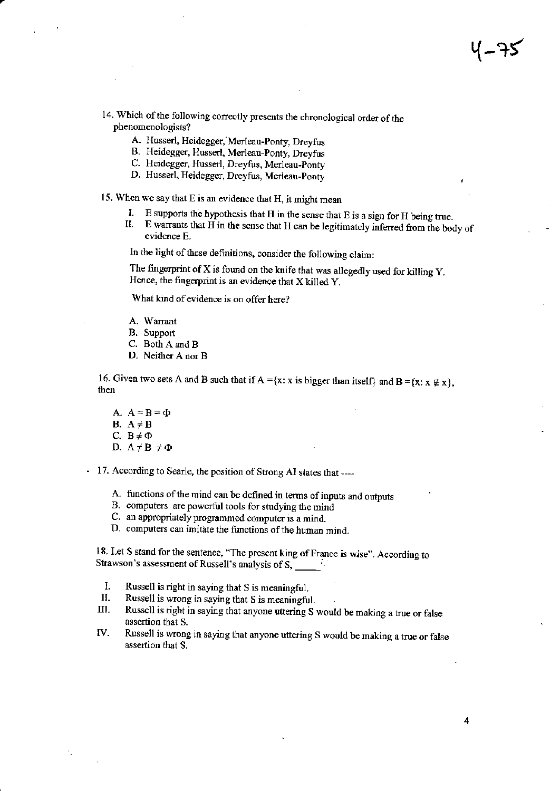14. Which of the following correctly presents the chronological order of the phenomenologists?

- A. Husserl, Heidegger, Merleau-Ponty, Dreyfus
- B. Heideggo, Husserl, Merleau-ponty, Dreyfus
- C. Heidegger, Husserl, Dreyfus, Merleau-Ponty
- D. Husserl, Heidegger, Dreyfus, Merleau-Ponty

15. When we say that  $E$  is an evidence that  $H$ , it might mean

- 
- I. E supports the hypothesis that H in the sense that E is a sign for H being true. II. Ewarrants that H in the sense that H can be legitimately inferred from the body of evidence E.

In the light of these definitions, consider the following claim:

The fingerprint of  $X$  is found on the knife that was allegedly used for killing  $Y$ . Hence, the fingerprint is an evidence that  $X$  killed  $Y$ .

What kind of evidence is on offer here?

- A. Warrant
- B. Support
- C. Both A and B
- D. Neither A nor B

16. Given two sets A and B such that if  $A = \{x : x \text{ is bigger than itself}\}$  and  $B = \{x : x \notin x\}$ , then

A.  $A=B=\Phi$ B.  $A \neq B$ C.  $B \neq \Phi$ D.  $A \neq B \neq \Phi$ 

17. According to Searle, the position of Strong AI states that ----

- A. functions of the mind can be defined in terms of inputs and outputs
- B. computers are powsrful tools for studying the mind
- C. an appropriately programmed computer is a mind.
- D. computers can imitate the functions of the human mind.

18. Let S stand for the sentence, "The present king of France is wise". According to Strawson's assessment of Russell's analysis of S,  $\frac{1}{\sqrt{2}}$ .

- 
- 
- I. Russell is right in saying that S is meaningful.<br>II. Russell is wrong in saying that S is meaningful.<br>III. Russell is right in saying that anyone uttering S would be making a true or false<br>assertion that S.
- IV. Russell is wrong in saying that anyone uttering S would be making a true or false assertion that S.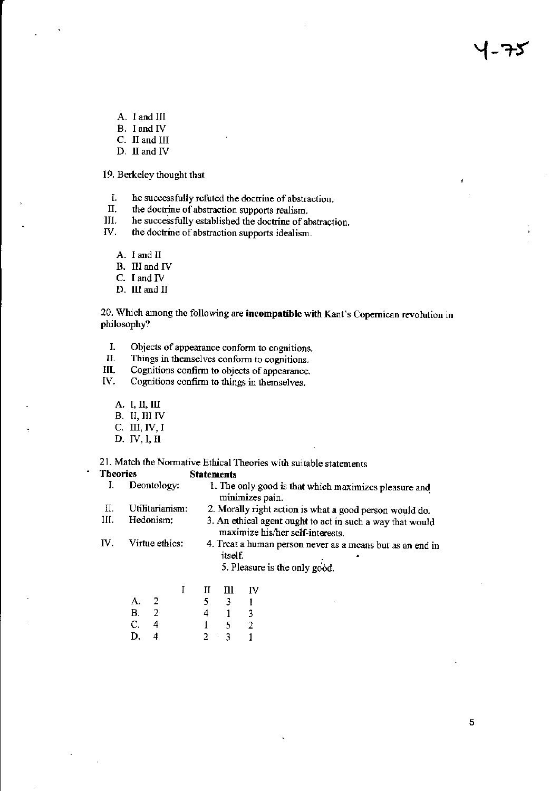- A. I and III
- B. I and IV
- C. II and III
- D. II and IV

19. Berkeley thought that

- I. he successfully refuted the doctrine of abstraction.
- II. the doctrine of abstraction supports realism.
- III. he successfully established the doctrine of abstraction.

IV. the doctrine of abstraction supports idealism.

- A. I and II
- B. III and IV
- C. I and IV
- D. III and II

20. Which among the following are incompatible with Kant's Copernican revolution in philosophy?

- I. Objects of appearance conform to cognitions.
- $II.$ Things in themselves conform to cognitions.
- III. Cognitions confirm to objects of appearance.
- IV. Cognitions confirm to things in themselves.
	- A. I, II, III
	- B. II, III IV
	- C. III, IV, I
	- D. IV, I, II

 $\ddot{\phantom{a}}$ 

21. Match the Normative Ethical Theories with suitable statements

**Theories Statements** 

|                       |                                                                                                            |                 |                | ~~~~~~ <b>~~~~~</b> ~                                                                      |                                                         |                                                                          |  |  |  |  |  |
|-----------------------|------------------------------------------------------------------------------------------------------------|-----------------|----------------|--------------------------------------------------------------------------------------------|---------------------------------------------------------|--------------------------------------------------------------------------|--|--|--|--|--|
|                       |                                                                                                            | Deontology:     |                |                                                                                            |                                                         | 1. The only good is that which maximizes pleasure and<br>minimizes pain. |  |  |  |  |  |
| П.                    |                                                                                                            | Utilitarianism: |                |                                                                                            | 2. Morally right action is what a good person would do. |                                                                          |  |  |  |  |  |
| Ш.                    | Hedonism:<br>3. An ethical agent ought to act in such a way that would<br>maximize his/her self-interests. |                 |                |                                                                                            |                                                         |                                                                          |  |  |  |  |  |
| IV.<br>Virtue ethics: |                                                                                                            |                 | <i>itself.</i> | 4. Treat a human person never as a means but as an end in<br>5. Pleasure is the only good. |                                                         |                                                                          |  |  |  |  |  |
|                       |                                                                                                            |                 |                | П                                                                                          | Ш                                                       | IV                                                                       |  |  |  |  |  |
|                       | А.                                                                                                         |                 |                |                                                                                            | 3                                                       |                                                                          |  |  |  |  |  |
|                       | В.                                                                                                         | 2               |                | 4                                                                                          |                                                         | 3                                                                        |  |  |  |  |  |
|                       |                                                                                                            |                 |                |                                                                                            |                                                         |                                                                          |  |  |  |  |  |

.

U.  $\perp$ 2  $\frac{1}{2}$   $\frac{1}{3}$ D.  $\overline{4}$  $\mathbf{1}$  J.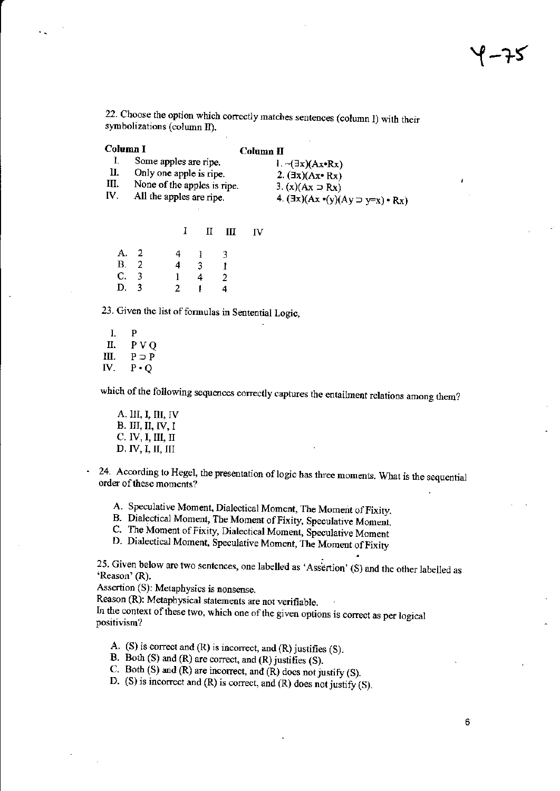22. Choose the option which correctly matches sentences (column I) with their symbolizations (column II).

| Column I |                             | $Column$ $\Pi$                                              |
|----------|-----------------------------|-------------------------------------------------------------|
|          | Some apples are ripe.       | $1. \neg (\exists x)(Ax \cdot Rx)$                          |
| II.      | Only one apple is ripe.     | 2. $(\exists x)(Ax \bullet Rx)$                             |
| III.     | None of the apples is ripe. | $3. (x)(Ax \supset Rx)$                                     |
| IV.      | All the apples are ripe.    | 4. $(\exists x)(Ax \bullet (y)(Ay \supset y=x) \bullet Rx)$ |

 $\mathbf{I}$  $\mathbf{I}$ Ш **IV** 

| A. 2 | 4            |   | 3            |
|------|--------------|---|--------------|
| B. 2 | 4            | 3 | $\mathbf{1}$ |
| C. 3 | $\mathbf{1}$ | 4 | $\mathbf{2}$ |
| D. 3 | 2            |   | 4            |

23. Given the list of formulas in Sentential Logic,

 $\mathbf{I}$ P Π.  $PVO$ Ш.  $P \supset P$ IV.  $P \cdot Q$ 

 $\ddot{\phantom{0}}$ 

which of the following sequences correctly captures the entailment relations among them?

A. III, I, III, IV **B. III, II, IV, I** С. IV, I, III, II  $D. IV, I, II, III$ 

24. According to Hegel, the presentation of logic has three moments. What is the sequential order of these moments?

A. Speculative Moment, Dialectical Moment, The Moment of Fixity.

B. Dialectical Moment, The Moment of Fixity, Speculative Moment.

C. The Moment of Fixity, Dialectical Moment, Speculative Moment

D. Dialectical Moment, Speculative Moment, The Moment of Fixity

25. Given below are two sentences, one labelled as 'Assertion' (S) and the other labelled as 'Reason' (R).

Assertion (S): Metaphysics is nonsense.

Reason (R): Metaphysical statements are not verifiable.

In the context of these two, which one of the given options is correct as per logical positivism?

A. (S) is correct and  $(R)$  is incorrect, and  $(R)$  justifies  $(S)$ .

B. Both (S) and (R) are correct, and (R) justifies (S).

C. Both (S) and (R) are incorrect, and  $(R)$  does not justify (S).

D. (S) is incorrect and (R) is correct, and (R) does not justify (S).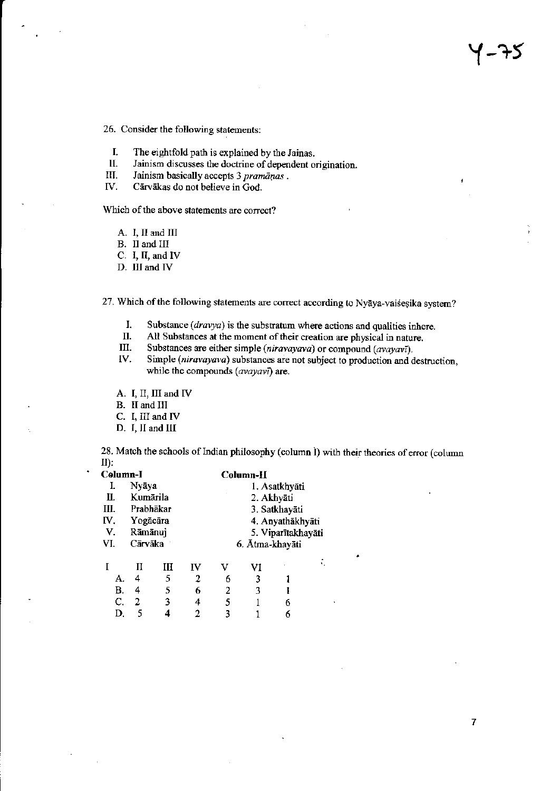26. Consider the following statements:

- I. The eightfold path is explained by the Jainas.
- II. Jainism discusses the doctrine of dependent origination.
- III. Jainism basically accepts 3 pramāņas.
- IV. Cārvākas do not believe in God.

Which of the above statements are correct?

- A. I, II and III
- B. II and III
- C. I, II, and IV
- D. III and IV

27. Which of the following statements are correct according to Nyaya-vaisesika system?

- I. Substance  $(dravya)$  is the substratum where actions and qualities inhere.
- II. All Substances at the moment of their creation are physical in nature.
- III. Substances are either simple (niravayava) or compound (avayavī).
- Simple (niravayava) substances are not subject to production and destruction, IV. while the compounds (avayavi) are.

A. I, II, III and IV

B. II and III

C. I, III and IV

D. I, II and III

28. Match the schools of Indian philosophy (column I) with their theories of error (column **:** 

| Column-l |           |    |    | Column-H         |                 |                    |  |  |
|----------|-----------|----|----|------------------|-----------------|--------------------|--|--|
| I.       | Nyāya     |    |    | 1. Asatkhyāti    |                 |                    |  |  |
| П.       | Kumārila  |    |    | 2. Akhyāti       |                 |                    |  |  |
| Ш.       | Prabhākar |    |    | 3. Satkhayāti    |                 |                    |  |  |
| IV.      | Yogācāra  |    |    | 4. Anyathākhyāti |                 |                    |  |  |
| V.       | Rāmānuj   |    |    |                  |                 | 5. Viparītakhayāti |  |  |
| VI.      | Cārvāka   |    |    |                  | 6. Atma-khayāti |                    |  |  |
|          | П         | ИI | IV | v                | VI              |                    |  |  |
| А.       | 4         | 5  | 2  | 6                | 3               |                    |  |  |
| B.       | 4         | 5  | 6  | 2                | 3               |                    |  |  |
| C.       | 2         | 3  | 4  | 5                |                 | 6                  |  |  |
| D.       | 5         | 4  | 2  | 3                |                 |                    |  |  |
|          |           |    |    |                  |                 |                    |  |  |

 $\overline{7}$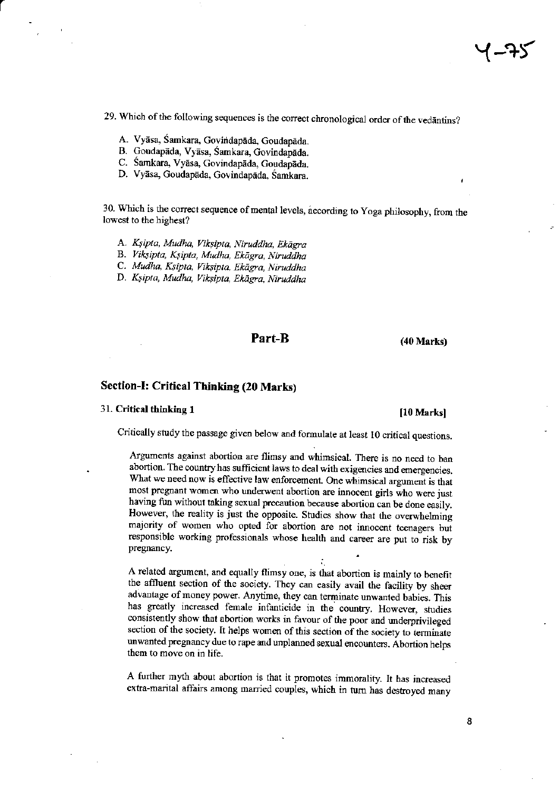29. Which of the following sequences is the correct chronological order of the vedantins?

- A. Vyāsa, Śamkara, Govindapāda, Goudapāda.
- B. Goudapāda, Vyāsa, Śamkara, Govindapāda.
- C. Śamkara, Vyāsa, Govindapāda, Goudapāda.
- D. Vyāsa, Goudapāda, Govindapāda, Samkara.

30. Which is the correct sequence of mental levels, according to Yoga philosophy, from the lowest to the highest?

A. Ksipta, Mudha, Viksipta, Niruddha, Ekāgra

B. Viksipta, Kşipta, Mudha, Ekāgra, Niruddha

C. Mudha, Ksipta, Viksipta, Ekāgra, Niruddha

D. Ksipta, Mudha, Viksipta, Ekāgra, Niruddha

## Part-B

 $(40 Marks)$ 

# Section-I: Critical Thinking (20 Marks)

#### 31. Critical thinking 1

#### [10 Marks]

Critically study the passage given below and formulate at least 10 critical questions.

Arguments against abortion are flimsy and whimsical. There is no need to ban abortion. The country has sufficient laws to deal with exigencies and emergencies. What we need now is effective law enforcement. One whimsical argument is that most pregnant women who underwent abortion are innocent girls who were just having fun without taking sexual precaution because abortion can be done easily. However, the reality is just the opposite. Studies show that the overwhelming majority of women who opted for abortion are not innocent teenagers but responsible working professionals whose health and career are put to risk by pregnancy.

A related argument, and equally flimsy one, is that abortion is mainly to benefit the affluent section of the society. They can easily avail the facility by sheer advantage of money power. Anytime, they can terminate unwanted babies. This has greatly increased female infanticide in the country. However, studies consistently show that abortion works in favour of the poor and underprivileged section of the society. It helps women of this section of the society to terminate unwanted pregnancy due to rape and unplanned sexual encounters. Abortion helps them to move on in life.

A further myth about abortion is that it promotes immorality. It has increased extra-marital affairs among married couples, which in turn has destroyed many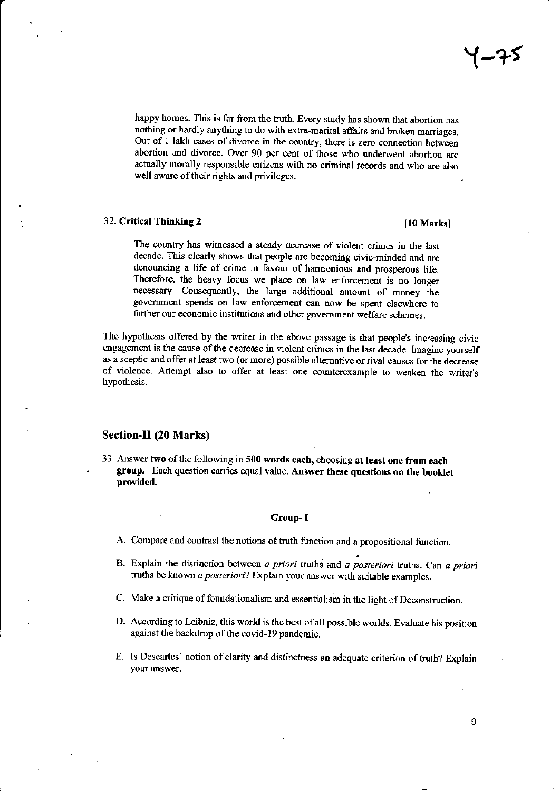happy homes. This is far from the truth. Every study has shown that abortion has nothing or hardly anything to do with extra-marital affairs and broken marriages. Out of 1 lakh cases of divorce in the country, there is zero connection between abortion and divorce. Over 90 per cent of those who underwent abortion are actually morally responsible citizens with no criminal records and who are also well aware of their rights and privileges.

#### 32. Critical Thinking 2

#### [10 Marks]

The country has witnessed a steady decrease of violent crimes in the last decade. This clearly shows that people are becoming civic-minded and are denouncing a life of crime in favour of harmonious and prosperous life. Therefore, the heavy focus we place on law enforcement is no longer necessary. Consequently, the large additional amount of money the government spends on law enforcement can now be spent elsewhere to farther our economic institutions and other government welfare schemes.

The hypothesis offered by the writer in the above passage is that people's increasing civic engagement is the cause of the decrease in violent crimes in the last decade. Imagine yourself as a sceptic and offer at least two (or more) possible alternative or rival causes for the decrease of violence. Attempt also to offer at least one counterexample to weaken the writer's hypothesis.

### Section-II (20 Marks)

33. Answer two of the following in 500 words each, choosing at least one from each group. Each question carries equal value. Answer these questions on the booklet provided.

#### Group-I

- A. Compare and contrast the notions of truth function and a propositional function.
- B. Explain the distinction between  $a$  priori truths and  $a$  posteriori truths. Can  $a$  priori truths be known a posteriori? Explain your answer with suitable examples.
- C. Make a critique of foundationalism and essentialism in the light of Deconstruction.
- D. According to Leibniz, this world is the best of all possible worlds. Evaluate his position against the backdrop of the covid-19 pandemic.
- E. Is Descartes' notion of clarity and distinctness an adequate criterion of truth? Explain your answer.